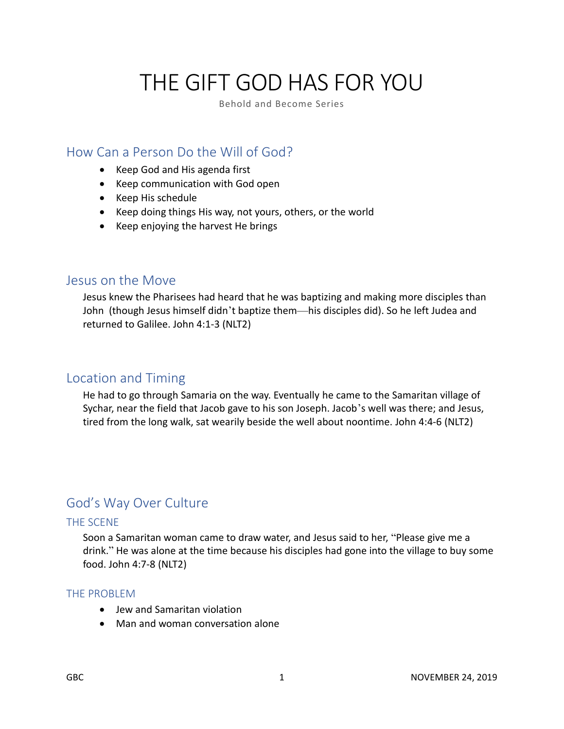# THE GIFT GOD HAS FOR YOU

Behold and Become Series

# How Can a Person Do the Will of God?

- Keep God and His agenda first
- Keep communication with God open
- Keep His schedule
- Keep doing things His way, not yours, others, or the world
- Keep enjoying the harvest He brings

#### Jesus on the Move

Jesus knew the Pharisees had heard that he was baptizing and making more disciples than John (though Jesus himself didn't baptize them—his disciples did). So he left Judea and returned to Galilee. John 4:1-3 (NLT2)

#### Location and Timing

He had to go through Samaria on the way. Eventually he came to the Samaritan village of Sychar, near the field that Jacob gave to his son Joseph. Jacob's well was there; and Jesus, tired from the long walk, sat wearily beside the well about noontime. John 4:4-6 (NLT2)

# God's Way Over Culture

#### THE SCENE

Soon a Samaritan woman came to draw water, and Jesus said to her, "Please give me a drink." He was alone at the time because his disciples had gone into the village to buy some food. John 4:7-8 (NLT2)

#### THE PROBLEM

- Jew and Samaritan violation
- Man and woman conversation alone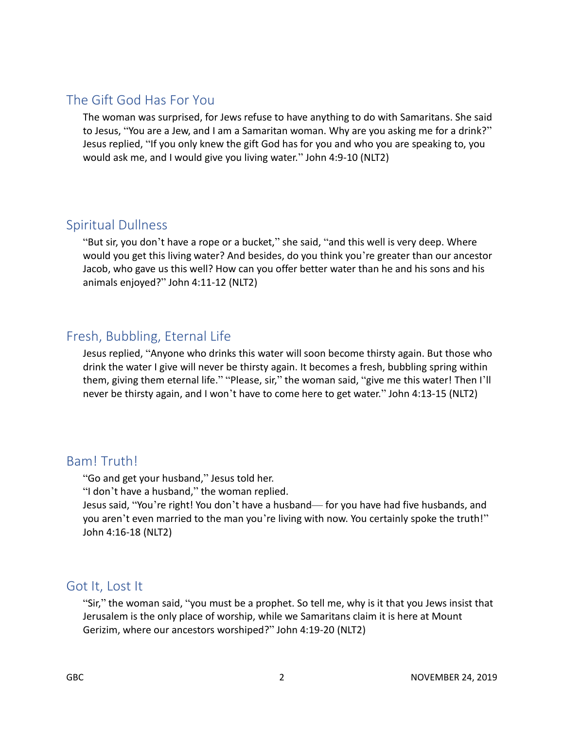# The Gift God Has For You

The woman was surprised, for Jews refuse to have anything to do with Samaritans. She said to Jesus, "You are a Jew, and I am a Samaritan woman. Why are you asking me for a drink?" Jesus replied, "If you only knew the gift God has for you and who you are speaking to, you would ask me, and I would give you living water." John 4:9-10 (NLT2)

## Spiritual Dullness

"But sir, you don't have a rope or a bucket," she said, "and this well is very deep. Where would you get this living water? And besides, do you think you're greater than our ancestor Jacob, who gave us this well? How can you offer better water than he and his sons and his animals enjoyed?" John 4:11-12 (NLT2)

# Fresh, Bubbling, Eternal Life

Jesus replied, "Anyone who drinks this water will soon become thirsty again. But those who drink the water I give will never be thirsty again. It becomes a fresh, bubbling spring within them, giving them eternal life." "Please, sir," the woman said, "give me this water! Then I'll never be thirsty again, and I won't have to come here to get water." John 4:13-15 (NLT2)

#### Bam! Truth!

"Go and get your husband," Jesus told her.

"I don't have a husband," the woman replied.

Jesus said, "You're right! You don't have a husband— for you have had five husbands, and you aren't even married to the man you're living with now. You certainly spoke the truth!" John 4:16-18 (NLT2)

#### Got It, Lost It

"Sir," the woman said, "you must be a prophet. So tell me, why is it that you Jews insist that Jerusalem is the only place of worship, while we Samaritans claim it is here at Mount Gerizim, where our ancestors worshiped?" John 4:19-20 (NLT2)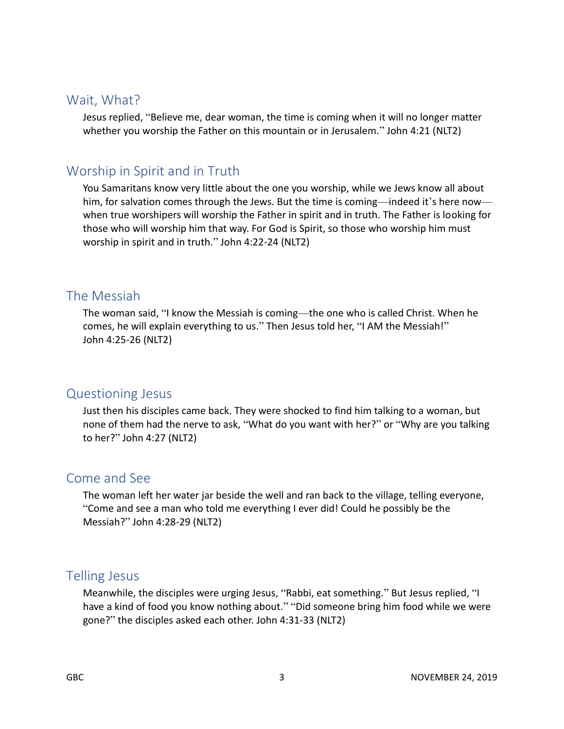#### Wait, What?

Jesus replied, "Believe me, dear woman, the time is coming when it will no longer matter whether you worship the Father on this mountain or in Jerusalem." John 4:21 (NLT2)

# Worship in Spirit and in Truth

You Samaritans know very little about the one you worship, while we Jews know all about him, for salvation comes through the Jews. But the time is coming—indeed it's here now when true worshipers will worship the Father in spirit and in truth. The Father is looking for those who will worship him that way. For God is Spirit, so those who worship him must worship in spirit and in truth." John 4:22-24 (NLT2)

## The Messiah

The woman said, "I know the Messiah is coming—the one who is called Christ. When he comes, he will explain everything to us." Then Jesus told her, "I AM the Messiah!" John 4:25-26 (NLT2)

# Questioning Jesus

Just then his disciples came back. They were shocked to find him talking to a woman, but none of them had the nerve to ask, "What do you want with her?" or "Why are you talking to her?" John 4:27 (NLT2)

# Come and See

The woman left her water jar beside the well and ran back to the village, telling everyone, "Come and see a man who told me everything I ever did! Could he possibly be the Messiah?" John 4:28-29 (NLT2)

#### Telling Jesus

Meanwhile, the disciples were urging Jesus, "Rabbi, eat something." But Jesus replied, "I have a kind of food you know nothing about." "Did someone bring him food while we were gone?" the disciples asked each other. John 4:31-33 (NLT2)